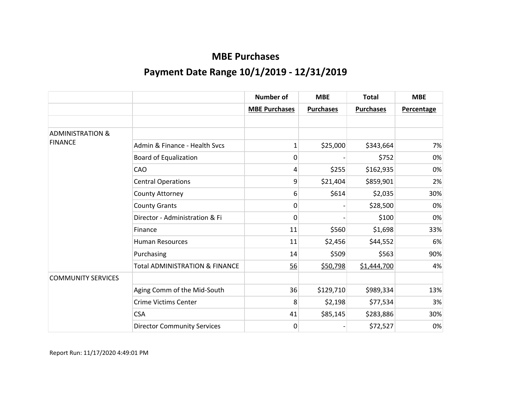|                             |                                           | <b>Number of</b>     | <b>MBE</b>       | <b>Total</b>     | <b>MBE</b>        |
|-----------------------------|-------------------------------------------|----------------------|------------------|------------------|-------------------|
|                             |                                           | <b>MBE Purchases</b> | <b>Purchases</b> | <b>Purchases</b> | <b>Percentage</b> |
|                             |                                           |                      |                  |                  |                   |
| <b>ADMINISTRATION &amp;</b> |                                           |                      |                  |                  |                   |
| <b>FINANCE</b>              | Admin & Finance - Health Svcs             | $\mathbf{1}$         | \$25,000         | \$343,664        | 7%                |
|                             | <b>Board of Equalization</b>              | 0                    |                  | \$752            | 0%                |
|                             | CAO                                       | 4                    | \$255            | \$162,935        | 0%                |
|                             | <b>Central Operations</b>                 | 9                    | \$21,404         | \$859,901        | 2%                |
|                             | County Attorney                           | 6                    | \$614            | \$2,035          | 30%               |
|                             | <b>County Grants</b>                      | 0                    |                  | \$28,500         | 0%                |
|                             | Director - Administration & Fi            | 0                    |                  | \$100            | 0%                |
|                             | Finance                                   | 11                   | \$560            | \$1,698          | 33%               |
|                             | <b>Human Resources</b>                    | 11                   | \$2,456          | \$44,552         | 6%                |
|                             | Purchasing                                | 14                   | \$509            | \$563            | 90%               |
|                             | <b>Total ADMINISTRATION &amp; FINANCE</b> | 56                   | \$50,798         | \$1,444,700      | 4%                |
| <b>COMMUNITY SERVICES</b>   |                                           |                      |                  |                  |                   |
|                             | Aging Comm of the Mid-South               | 36                   | \$129,710        | \$989,334        | 13%               |
|                             | <b>Crime Victims Center</b>               | 8                    | \$2,198          | \$77,534         | 3%                |
|                             | <b>CSA</b>                                | 41                   | \$85,145         | \$283,886        | 30%               |
|                             | <b>Director Community Services</b>        | 0                    |                  | \$72,527         | 0%                |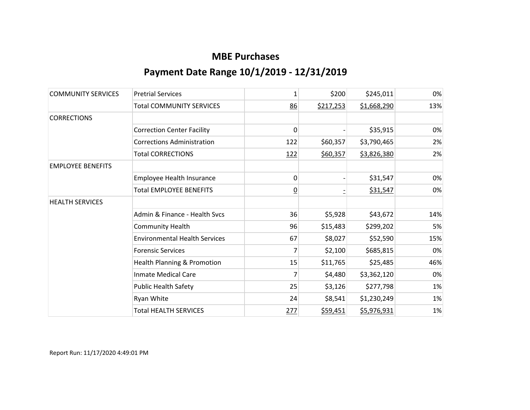| <b>COMMUNITY SERVICES</b> | <b>Pretrial Services</b>             | 1        | \$200     | \$245,011   | 0%  |
|---------------------------|--------------------------------------|----------|-----------|-------------|-----|
|                           | <b>Total COMMUNITY SERVICES</b>      | 86       | \$217,253 | \$1,668,290 | 13% |
| <b>CORRECTIONS</b>        |                                      |          |           |             |     |
|                           | <b>Correction Center Facility</b>    | 0        |           | \$35,915    | 0%  |
|                           | <b>Corrections Administration</b>    | 122      | \$60,357  | \$3,790,465 | 2%  |
|                           | <b>Total CORRECTIONS</b>             | 122      | \$60,357  | \$3,826,380 | 2%  |
| <b>EMPLOYEE BENEFITS</b>  |                                      |          |           |             |     |
|                           | Employee Health Insurance            | 0        |           | \$31,547    | 0%  |
|                           | <b>Total EMPLOYEE BENEFITS</b>       | <u>0</u> |           | \$31,547    | 0%  |
| <b>HEALTH SERVICES</b>    |                                      |          |           |             |     |
|                           | Admin & Finance - Health Svcs        | 36       | \$5,928   | \$43,672    | 14% |
|                           | <b>Community Health</b>              | 96       | \$15,483  | \$299,202   | 5%  |
|                           | <b>Environmental Health Services</b> | 67       | \$8,027   | \$52,590    | 15% |
|                           | <b>Forensic Services</b>             | 7        | \$2,100   | \$685,815   | 0%  |
|                           | Health Planning & Promotion          | 15       | \$11,765  | \$25,485    | 46% |
|                           | <b>Inmate Medical Care</b>           | 7        | \$4,480   | \$3,362,120 | 0%  |
|                           | <b>Public Health Safety</b>          | 25       | \$3,126   | \$277,798   | 1%  |
|                           | Ryan White                           | 24       | \$8,541   | \$1,230,249 | 1%  |
|                           | <b>Total HEALTH SERVICES</b>         | 277      | \$59,451  | \$5,976,931 | 1%  |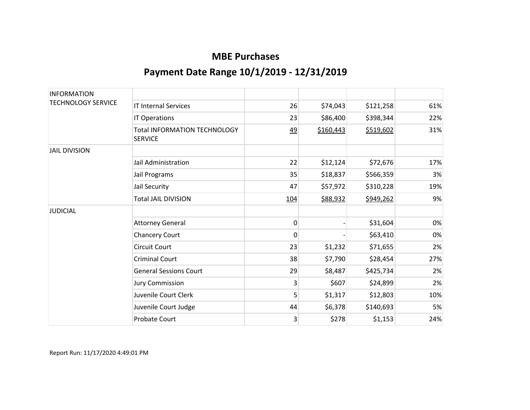| <b>INFORMATION</b>        |                                                       |           |           |           |     |
|---------------------------|-------------------------------------------------------|-----------|-----------|-----------|-----|
| <b>TECHNOLOGY SERVICE</b> | <b>IT Internal Services</b>                           | 26        | \$74,043  | \$121,258 | 61% |
|                           | IT Operations                                         | 23        | \$86,400  | \$398,344 | 22% |
|                           | <b>Total INFORMATION TECHNOLOGY</b><br><b>SERVICE</b> | <u>49</u> | \$160,443 | \$519,602 | 31% |
| <b>JAIL DIVISION</b>      |                                                       |           |           |           |     |
|                           | Jail Administration                                   | 22        | \$12,124  | \$72,676  | 17% |
|                           | Jail Programs                                         | 35        | \$18,837  | \$566,359 | 3%  |
|                           | Jail Security                                         | 47        | \$57,972  | \$310,228 | 19% |
|                           | <b>Total JAIL DIVISION</b>                            | 104       | \$88,932  | \$949,262 | 9%  |
| <b>JUDICIAL</b>           |                                                       |           |           |           |     |
|                           | <b>Attorney General</b>                               | 0         |           | \$31,604  | 0%  |
|                           | <b>Chancery Court</b>                                 | 0         |           | \$63,410  | 0%  |
|                           | <b>Circuit Court</b>                                  | 23        | \$1,232   | \$71,655  | 2%  |
|                           | <b>Criminal Court</b>                                 | 38        | \$7,790   | \$28,454  | 27% |
|                           | <b>General Sessions Court</b>                         | 29        | \$8,487   | \$425,734 | 2%  |
|                           | <b>Jury Commission</b>                                | 3         | \$607     | \$24,899  | 2%  |
|                           | Juvenile Court Clerk                                  | 5         | \$1,317   | \$12,803  | 10% |
|                           | Juvenile Court Judge                                  | 44        | \$6,378   | \$140,693 | 5%  |
|                           | <b>Probate Court</b>                                  | 3         | \$278     | \$1,153   | 24% |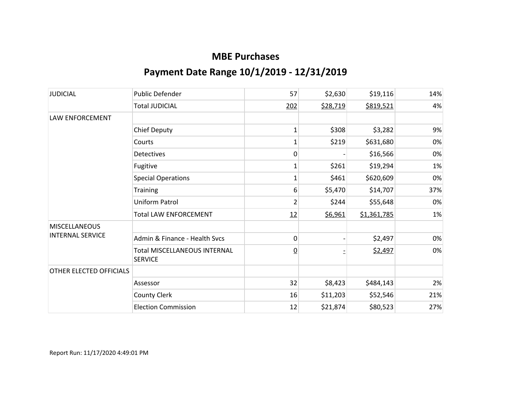| <b>JUDICIAL</b>                                 | <b>Public Defender</b>                                | 57              | \$2,630  | \$19,116    | 14% |
|-------------------------------------------------|-------------------------------------------------------|-----------------|----------|-------------|-----|
|                                                 | <b>Total JUDICIAL</b>                                 | 202             | \$28,719 | \$819,521   | 4%  |
| LAW ENFORCEMENT                                 |                                                       |                 |          |             |     |
|                                                 | <b>Chief Deputy</b>                                   | 1               | \$308    | \$3,282     | 9%  |
|                                                 | Courts                                                | 1               | \$219    | \$631,680   | 0%  |
|                                                 | <b>Detectives</b>                                     | 0               |          | \$16,566    | 0%  |
|                                                 | Fugitive                                              | $\mathbf{1}$    | \$261    | \$19,294    | 1%  |
|                                                 | <b>Special Operations</b>                             | $\mathbf{1}$    | \$461    | \$620,609   | 0%  |
|                                                 | <b>Training</b>                                       | 6               | \$5,470  | \$14,707    | 37% |
|                                                 | Uniform Patrol                                        | $\overline{2}$  | \$244    | \$55,648    | 0%  |
|                                                 | <b>Total LAW ENFORCEMENT</b>                          | 12              | \$6,961  | \$1,361,785 | 1%  |
| <b>MISCELLANEOUS</b><br><b>INTERNAL SERVICE</b> |                                                       |                 |          |             |     |
|                                                 | Admin & Finance - Health Svcs                         | 0               |          | \$2,497     | 0%  |
|                                                 | <b>Total MISCELLANEOUS INTERNAL</b><br><b>SERVICE</b> | $\underline{0}$ |          | \$2,497     | 0%  |
| OTHER ELECTED OFFICIALS                         |                                                       |                 |          |             |     |
|                                                 | Assessor                                              | 32              | \$8,423  | \$484,143   | 2%  |
|                                                 | County Clerk                                          | 16              | \$11,203 | \$52,546    | 21% |
|                                                 | <b>Election Commission</b>                            | 12              | \$21,874 | \$80,523    | 27% |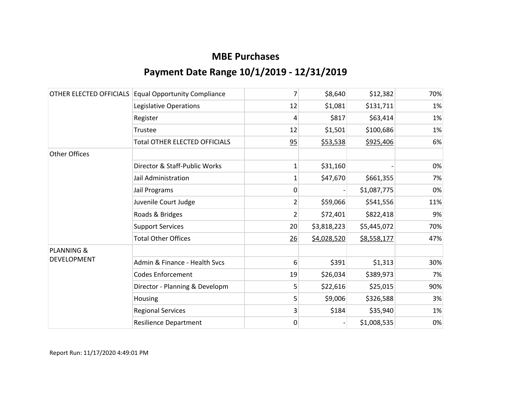| OTHER ELECTED OFFICIALS | <b>Equal Opportunity Compliance</b>  | 7              | \$8,640     | \$12,382    | 70% |
|-------------------------|--------------------------------------|----------------|-------------|-------------|-----|
|                         | Legislative Operations               | 12             | \$1,081     | \$131,711   | 1%  |
|                         | Register                             | 4              | \$817       | \$63,414    | 1%  |
|                         | Trustee                              | 12             | \$1,501     | \$100,686   | 1%  |
|                         | <b>Total OTHER ELECTED OFFICIALS</b> | 95             | \$53,538    | \$925,406   | 6%  |
| <b>Other Offices</b>    |                                      |                |             |             |     |
|                         | Director & Staff-Public Works        | 1              | \$31,160    |             | 0%  |
|                         | Jail Administration                  | 1              | \$47,670    | \$661,355   | 7%  |
|                         | Jail Programs                        | 0              |             | \$1,087,775 | 0%  |
|                         | Juvenile Court Judge                 | 2              | \$59,066    | \$541,556   | 11% |
|                         | Roads & Bridges                      | $\overline{2}$ | \$72,401    | \$822,418   | 9%  |
|                         | <b>Support Services</b>              | 20             | \$3,818,223 | \$5,445,072 | 70% |
|                         | <b>Total Other Offices</b>           | 26             | \$4,028,520 | \$8,558,177 | 47% |
| <b>PLANNING &amp;</b>   |                                      |                |             |             |     |
| <b>DEVELOPMENT</b>      | Admin & Finance - Health Svcs        | 6              | \$391       | \$1,313     | 30% |
|                         | <b>Codes Enforcement</b>             | 19             | \$26,034    | \$389,973   | 7%  |
|                         | Director - Planning & Developm       | 5              | \$22,616    | \$25,015    | 90% |
|                         | Housing                              | 5              | \$9,006     | \$326,588   | 3%  |
|                         | <b>Regional Services</b>             | 3              | \$184       | \$35,940    | 1%  |
|                         | <b>Resilience Department</b>         | 0              |             | \$1,008,535 | 0%  |